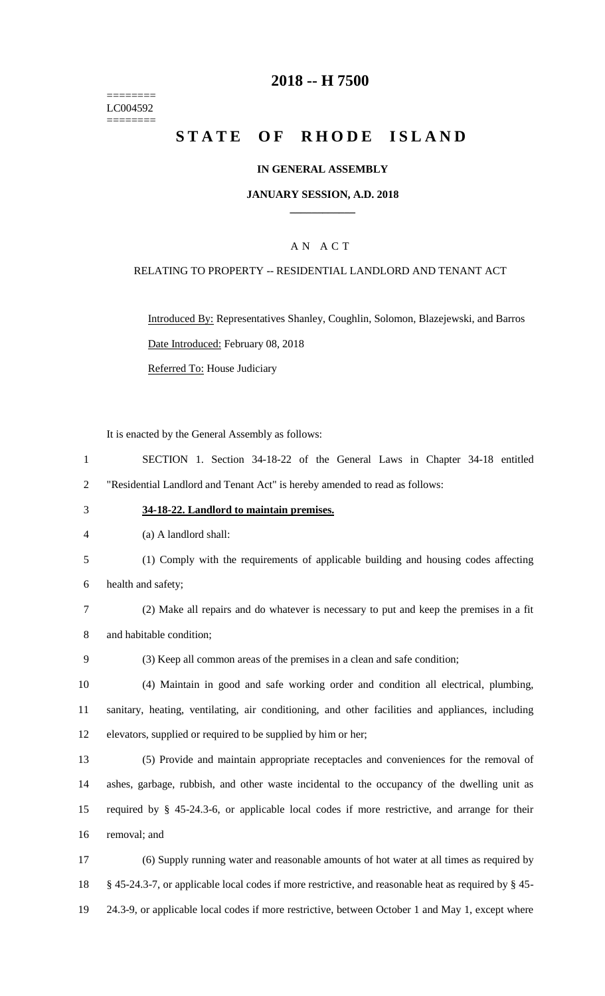======== LC004592 ========

# **-- H 7500**

# **STATE OF RHODE ISLAND**

### **IN GENERAL ASSEMBLY**

### **JANUARY SESSION, A.D. 2018 \_\_\_\_\_\_\_\_\_\_\_\_**

# A N A C T

### RELATING TO PROPERTY -- RESIDENTIAL LANDLORD AND TENANT ACT

Introduced By: Representatives Shanley, Coughlin, Solomon, Blazejewski, and Barros Date Introduced: February 08, 2018

Referred To: House Judiciary

It is enacted by the General Assembly as follows:

 SECTION 1. Section 34-18-22 of the General Laws in Chapter 34-18 entitled "Residential Landlord and Tenant Act" is hereby amended to read as follows:

- **34-18-22. Landlord to maintain premises.**
- (a) A landlord shall:
- (1) Comply with the requirements of applicable building and housing codes affecting health and safety;
- (2) Make all repairs and do whatever is necessary to put and keep the premises in a fit and habitable condition;
- (3) Keep all common areas of the premises in a clean and safe condition;

 (4) Maintain in good and safe working order and condition all electrical, plumbing, sanitary, heating, ventilating, air conditioning, and other facilities and appliances, including elevators, supplied or required to be supplied by him or her;

 (5) Provide and maintain appropriate receptacles and conveniences for the removal of ashes, garbage, rubbish, and other waste incidental to the occupancy of the dwelling unit as required by § 45-24.3-6, or applicable local codes if more restrictive, and arrange for their removal; and

 (6) Supply running water and reasonable amounts of hot water at all times as required by § 45-24.3-7, or applicable local codes if more restrictive, and reasonable heat as required by § 45- 24.3-9, or applicable local codes if more restrictive, between October 1 and May 1, except where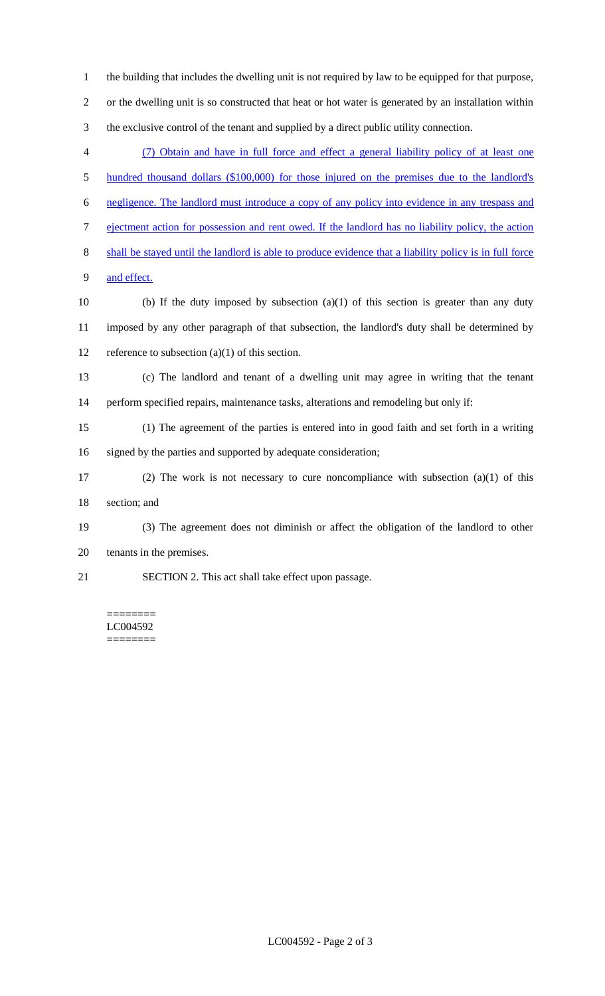or the dwelling unit is so constructed that heat or hot water is generated by an installation within the exclusive control of the tenant and supplied by a direct public utility connection. (7) Obtain and have in full force and effect a general liability policy of at least one 5 hundred thousand dollars (\$100,000) for those injured on the premises due to the landlord's negligence. The landlord must introduce a copy of any policy into evidence in any trespass and ejectment action for possession and rent owed. If the landlord has no liability policy, the action shall be stayed until the landlord is able to produce evidence that a liability policy is in full force and effect. 10 (b) If the duty imposed by subsection  $(a)(1)$  of this section is greater than any duty imposed by any other paragraph of that subsection, the landlord's duty shall be determined by 12 reference to subsection  $(a)(1)$  of this section. (c) The landlord and tenant of a dwelling unit may agree in writing that the tenant perform specified repairs, maintenance tasks, alterations and remodeling but only if: (1) The agreement of the parties is entered into in good faith and set forth in a writing signed by the parties and supported by adequate consideration; (2) The work is not necessary to cure noncompliance with subsection (a)(1) of this section; and (3) The agreement does not diminish or affect the obligation of the landlord to other tenants in the premises. SECTION 2. This act shall take effect upon passage.

the building that includes the dwelling unit is not required by law to be equipped for that purpose,

#### ======== LC004592 ========